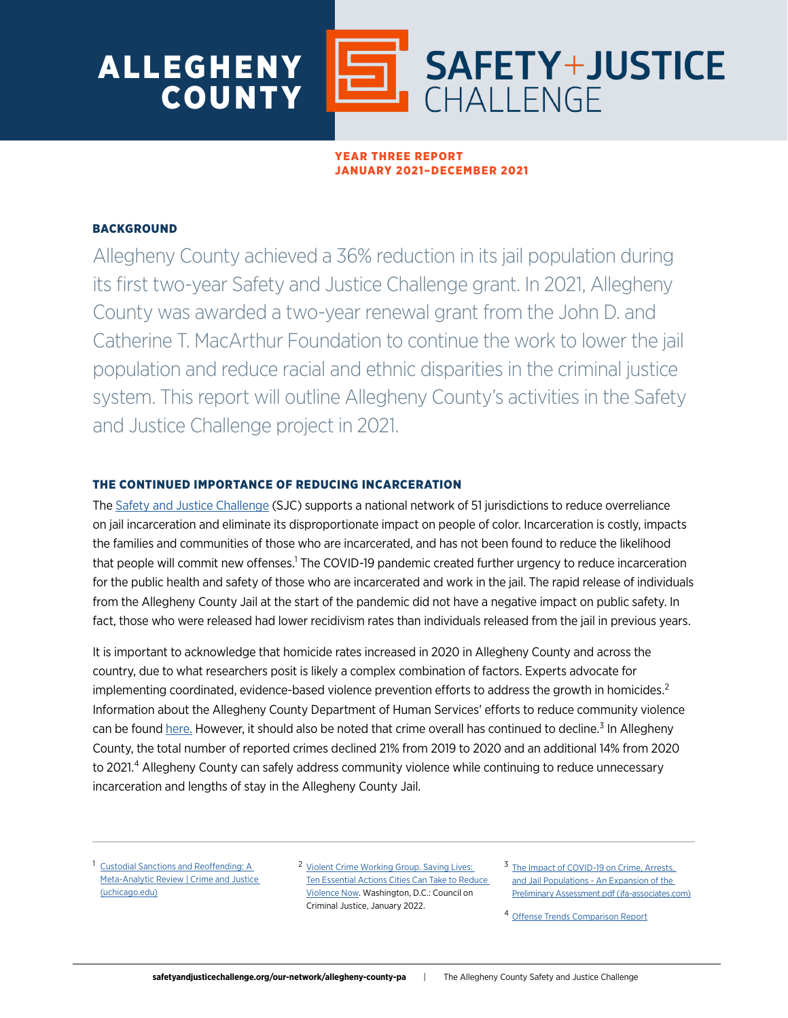

# YEAR THREE REPORT JANUARY 2021–DECEMBER 2021

# **BACKGROUND**

Allegheny County achieved a 36% reduction in its jail population during its first two-year Safety and Justice Challenge grant. In 2021, Allegheny County was awarded a two-year renewal grant from the John D. and Catherine T. MacArthur Foundation to continue the work to lower the jail population and reduce racial and ethnic disparities in the criminal justice system. This report will outline Allegheny County's activities in the Safety and Justice Challenge project in 2021.

# THE CONTINUED IMPORTANCE OF REDUCING INCARCERATION

The [Safety and Justice Challenge](http://www.safetyandjusticechallenge.org/) (SJC) supports a national network of 51 jurisdictions to reduce overreliance on jail incarceration and eliminate its disproportionate impact on people of color. Incarceration is costly, impacts the families and communities of those who are incarcerated, and has not been found to reduce the likelihood that people will commit new offenses.<sup>1</sup> The COVID-19 pandemic created further urgency to reduce incarceration for the public health and safety of those who are incarcerated and work in the jail. The rapid release of individuals from the Allegheny County Jail at the start of the pandemic did not have a negative impact on public safety. In fact, those who were released had lower recidivism rates than individuals released from the jail in previous years.

It is important to acknowledge that homicide rates increased in 2020 in Allegheny County and across the country, due to what researchers posit is likely a complex combination of factors. Experts advocate for implementing coordinated, evidence-based violence prevention efforts to address the growth in homicides. $2$ Information about the Allegheny County Department of Human Services' efforts to reduce community violence can be found [here.](https://www.alleghenycounty.us/Human-Services/News-Events/Accomplishments/Preventing-Community-Violence-in-Allegheny-County.aspx) However, it should also be noted that crime overall has continued to decline.<sup>3</sup> In Allegheny County, the total number of reported crimes declined 21% from 2019 to 2020 and an additional 14% from 2020 to 2021.<sup>4</sup> Allegheny County can safely address community violence while continuing to reduce unnecessary incarceration and lengths of stay in the Allegheny County Jail.

<sup>1</sup> Custodial Sanctions and Reoffending: A [Meta-Analytic Review | Crime and Justice](https://www.journals.uchicago.edu/doi/10.1086/715100)  [\(uchicago.edu\)](https://www.journals.uchicago.edu/doi/10.1086/715100)

<sup>2</sup> Violent Crime Working Group. Saving Lives: [Ten Essential Actions Cities Can Take to Reduce](https://counciloncj.org/10-essential-actions/)  [Violence Now.](https://counciloncj.org/10-essential-actions/) Washington, D.C.: Council on Criminal Justice, January 2022.

<sup>3</sup> The Impact of COVID-19 on Crime, Arrests, [and Jail Populations - An Expansion of the](http://www.jfa-associates.com/publications/jss/The%20Impact%20of%20COVID-19%20on%20Crime,%20Arrests,%20and%20Jail%20Populations%20-%20An%20Expansion%20of%20the%20Preliminary%20Assessment.pdf)  [Preliminary Assessment.pdf \(jfa-associates.com\)](http://www.jfa-associates.com/publications/jss/The%20Impact%20of%20COVID-19%20on%20Crime,%20Arrests,%20and%20Jail%20Populations%20-%20An%20Expansion%20of%20the%20Preliminary%20Assessment.pdf)

<sup>4</sup> [Offense Trends Comparison Report](https://www.ucr.pa.gov/PAUCRSPUBLIC/SRSReport/CrimesIndex)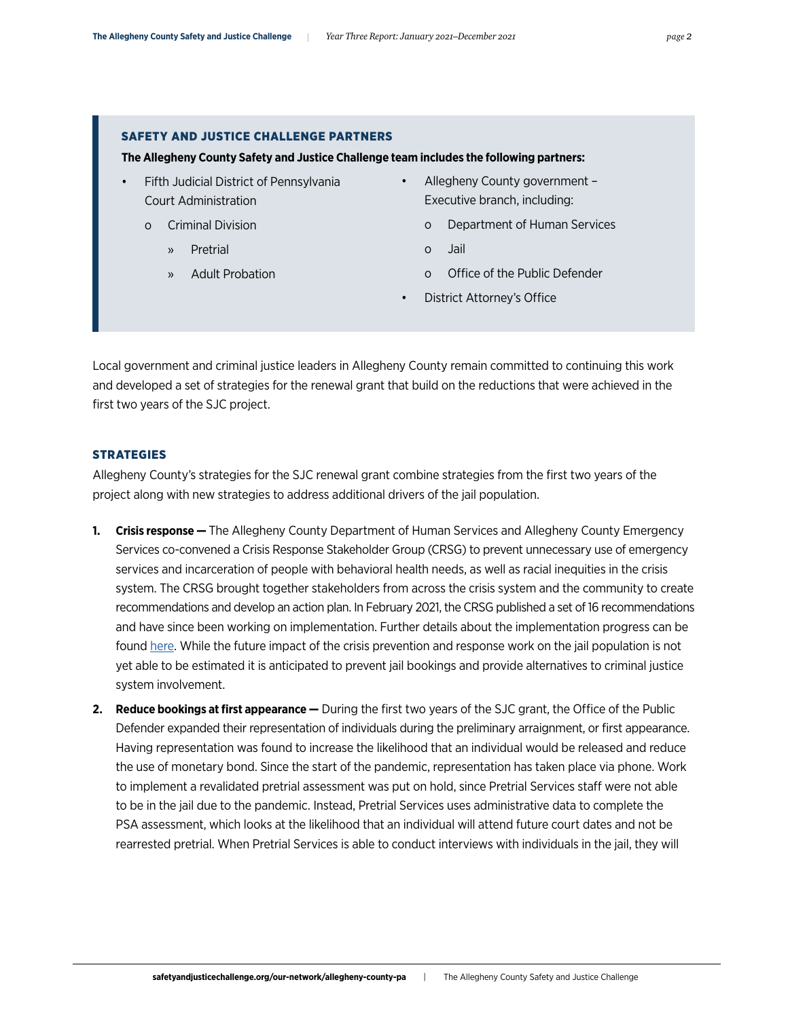# SAFETY AND JUSTICE CHALLENGE PARTNERS

## **The Allegheny County Safety and Justice Challenge team includes the following partners:**

- Fifth Judicial District of Pennsylvania Court Administration
	- o Criminal Division
		- » Pretrial
		- » Adult Probation
- Allegheny County government Executive branch, including:
	- o Department of Human Services
	- o Jail
	- o Office of the Public Defender
	- District Attorney's Office

Local government and criminal justice leaders in Allegheny County remain committed to continuing this work and developed a set of strategies for the renewal grant that build on the reductions that were achieved in the first two years of the SJC project.

# **STRATEGIES**

Allegheny County's strategies for the SJC renewal grant combine strategies from the first two years of the project along with new strategies to address additional drivers of the jail population.

- **1. Crisis response** The Allegheny County Department of Human Services and Allegheny County Emergency Services co-convened a Crisis Response Stakeholder Group (CRSG) to prevent unnecessary use of emergency services and incarceration of people with behavioral health needs, as well as racial inequities in the crisis system. The CRSG brought together stakeholders from across the crisis system and the community to create recommendations and develop an action plan. In February 2021, the CRSG published a set of 16 recommendations and have since been working on implementation. Further details about the implementation progress can be found [here](https://alleghenycounty.us/Human-Services/News-Events/Accomplishments/Improving-Crisis-Prevention-and-Response.aspx). While the future impact of the crisis prevention and response work on the jail population is not yet able to be estimated it is anticipated to prevent jail bookings and provide alternatives to criminal justice system involvement.
- **2. Reduce bookings at first appearance —** During the first two years of the SJC grant, the Office of the Public Defender expanded their representation of individuals during the preliminary arraignment, or first appearance. Having representation was found to increase the likelihood that an individual would be released and reduce the use of monetary bond. Since the start of the pandemic, representation has taken place via phone. Work to implement a revalidated pretrial assessment was put on hold, since Pretrial Services staff were not able to be in the jail due to the pandemic. Instead, Pretrial Services uses administrative data to complete the PSA assessment, which looks at the likelihood that an individual will attend future court dates and not be rearrested pretrial. When Pretrial Services is able to conduct interviews with individuals in the jail, they will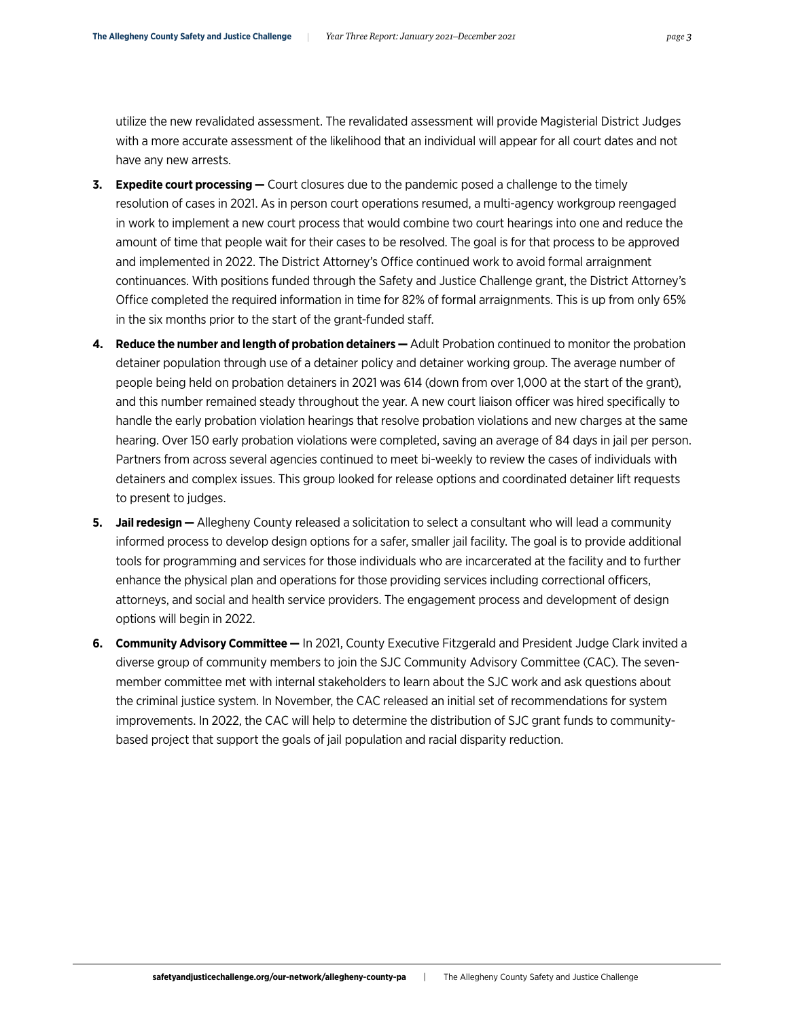utilize the new revalidated assessment. The revalidated assessment will provide Magisterial District Judges with a more accurate assessment of the likelihood that an individual will appear for all court dates and not have any new arrests.

- **3. Expedite court processing —** Court closures due to the pandemic posed a challenge to the timely resolution of cases in 2021. As in person court operations resumed, a multi-agency workgroup reengaged in work to implement a new court process that would combine two court hearings into one and reduce the amount of time that people wait for their cases to be resolved. The goal is for that process to be approved and implemented in 2022. The District Attorney's Office continued work to avoid formal arraignment continuances. With positions funded through the Safety and Justice Challenge grant, the District Attorney's Office completed the required information in time for 82% of formal arraignments. This is up from only 65% in the six months prior to the start of the grant-funded staff.
- **4. Reduce the number and length of probation detainers** Adult Probation continued to monitor the probation detainer population through use of a detainer policy and detainer working group. The average number of people being held on probation detainers in 2021 was 614 (down from over 1,000 at the start of the grant), and this number remained steady throughout the year. A new court liaison officer was hired specifically to handle the early probation violation hearings that resolve probation violations and new charges at the same hearing. Over 150 early probation violations were completed, saving an average of 84 days in jail per person. Partners from across several agencies continued to meet bi-weekly to review the cases of individuals with detainers and complex issues. This group looked for release options and coordinated detainer lift requests to present to judges.
- **5. Jail redesign** Allegheny County released a solicitation to select a consultant who will lead a community informed process to develop design options for a safer, smaller jail facility. The goal is to provide additional tools for programming and services for those individuals who are incarcerated at the facility and to further enhance the physical plan and operations for those providing services including correctional officers, attorneys, and social and health service providers. The engagement process and development of design options will begin in 2022.
- **6. Community Advisory Committee —** In 2021, County Executive Fitzgerald and President Judge Clark invited a diverse group of community members to join the SJC Community Advisory Committee (CAC). The sevenmember committee met with internal stakeholders to learn about the SJC work and ask questions about the criminal justice system. In November, the CAC released an initial set of recommendations for system improvements. In 2022, the CAC will help to determine the distribution of SJC grant funds to communitybased project that support the goals of jail population and racial disparity reduction.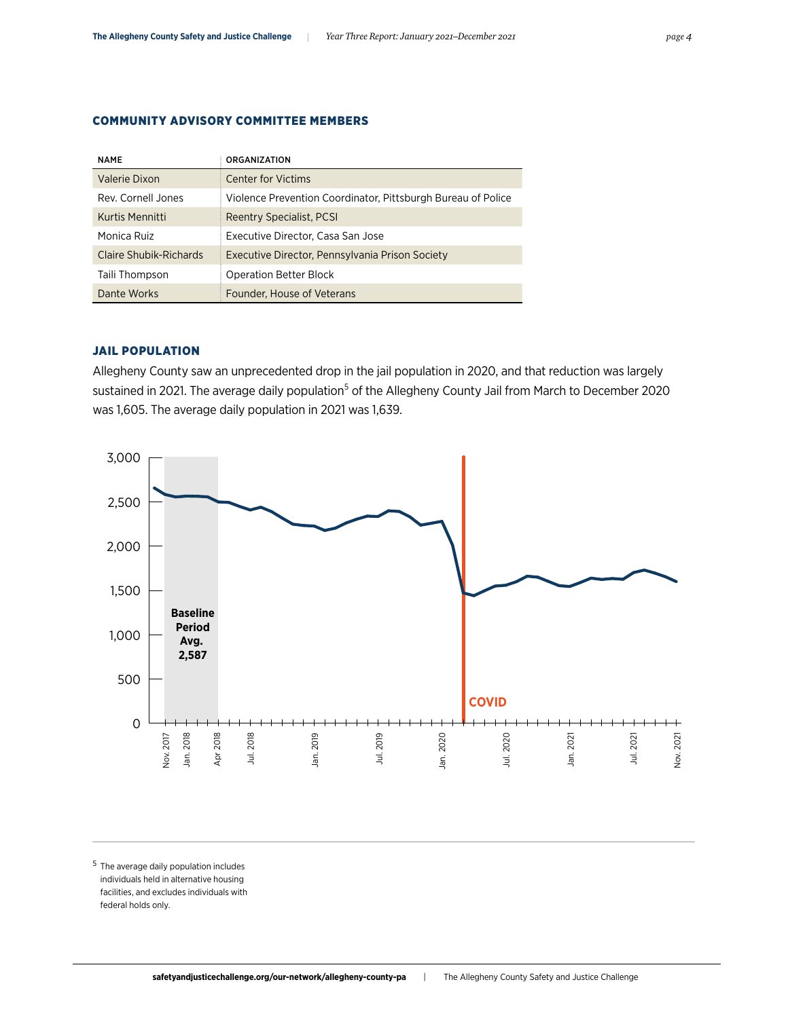COMMUNITY ADVISORY COMMITTEE MEMBERS

| <b>NAME</b>            | <b>ORGANIZATION</b>                                          |
|------------------------|--------------------------------------------------------------|
| Valerie Dixon          | <b>Center for Victims</b>                                    |
| Rev. Cornell Jones     | Violence Prevention Coordinator, Pittsburgh Bureau of Police |
| Kurtis Mennitti        | <b>Reentry Specialist, PCSI</b>                              |
| Monica Ruiz            | Executive Director, Casa San Jose                            |
| Claire Shubik-Richards | Executive Director, Pennsylvania Prison Society              |
| Taili Thompson         | <b>Operation Better Block</b>                                |
| Dante Works            | Founder, House of Veterans                                   |

# JAIL POPULATION

Allegheny County saw an unprecedented drop in the jail population in 2020, and that reduction was largely sustained in 2021. The average daily population<sup>5</sup> of the Allegheny County Jail from March to December 2020 was 1,605. The average daily population in 2021 was 1,639.



<sup>5</sup> The average daily population includes individuals held in alternative housing facilities, and excludes individuals with federal holds only.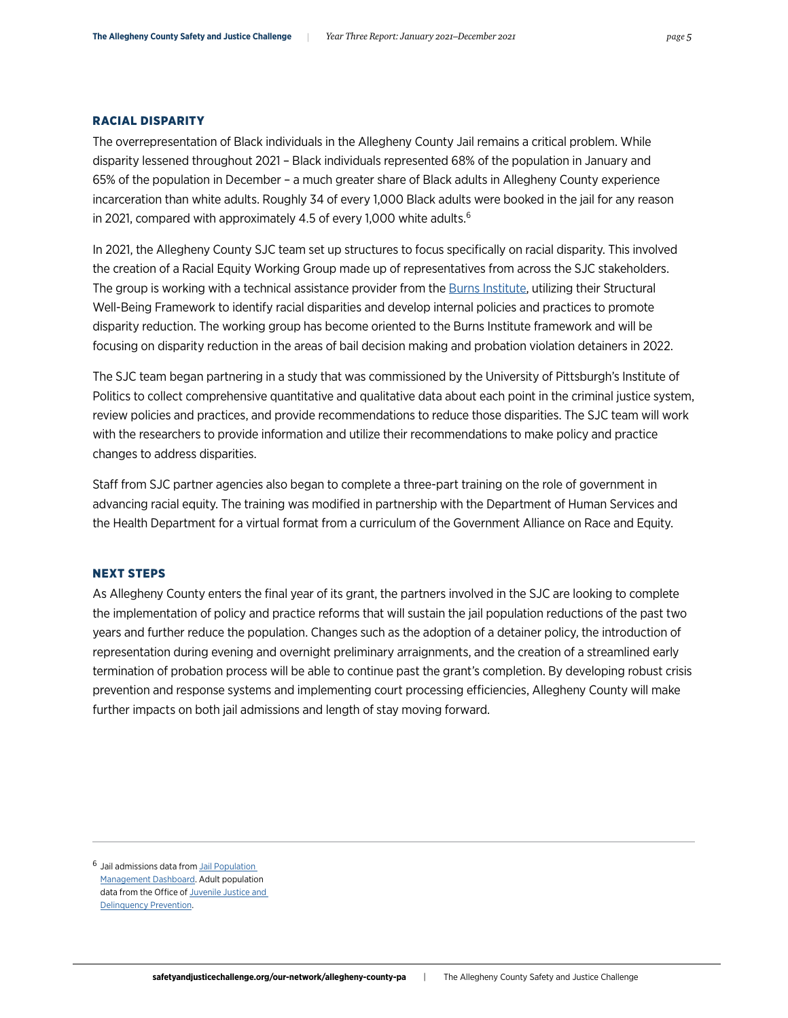#### RACIAL DISPARITY

The overrepresentation of Black individuals in the Allegheny County Jail remains a critical problem. While disparity lessened throughout 2021 – Black individuals represented 68% of the population in January and 65% of the population in December – a much greater share of Black adults in Allegheny County experience incarceration than white adults. Roughly 34 of every 1,000 Black adults were booked in the jail for any reason in 2021, compared with approximately 4.5 of every 1,000 white adults.<sup>6</sup>

In 2021, the Allegheny County SJC team set up structures to focus specifically on racial disparity. This involved the creation of a Racial Equity Working Group made up of representatives from across the SJC stakeholders. The group is working with a technical assistance provider from the [Burns Institute,](https://burnsinstitute.org/) utilizing their Structural Well-Being Framework to identify racial disparities and develop internal policies and practices to promote disparity reduction. The working group has become oriented to the Burns Institute framework and will be focusing on disparity reduction in the areas of bail decision making and probation violation detainers in 2022.

The SJC team began partnering in a study that was commissioned by the University of Pittsburgh's Institute of Politics to collect comprehensive quantitative and qualitative data about each point in the criminal justice system, review policies and practices, and provide recommendations to reduce those disparities. The SJC team will work with the researchers to provide information and utilize their recommendations to make policy and practice changes to address disparities.

Staff from SJC partner agencies also began to complete a three-part training on the role of government in advancing racial equity. The training was modified in partnership with the Department of Human Services and the Health Department for a virtual format from a curriculum of the Government Alliance on Race and Equity.

## NEXT STEPS

As Allegheny County enters the final year of its grant, the partners involved in the SJC are looking to complete the implementation of policy and practice reforms that will sustain the jail population reductions of the past two years and further reduce the population. Changes such as the adoption of a detainer policy, the introduction of representation during evening and overnight preliminary arraignments, and the creation of a streamlined early termination of probation process will be able to continue past the grant's completion. By developing robust crisis prevention and response systems and implementing court processing efficiencies, Allegheny County will make further impacts on both jail admissions and length of stay moving forward.

<sup>&</sup>lt;sup>6</sup> Jail admissions data from **Jail Population** [Management Dashboard.](https://www.alleghenycountyanalytics.us/index.php/2021/03/04/allegheny-county-jail-population-management-dashboards-2/) Adult population data from the Office of Juvenile Justice and [Delinquency Prevention](https://www.ojjdp.gov/ojstatbb/ezapop/).